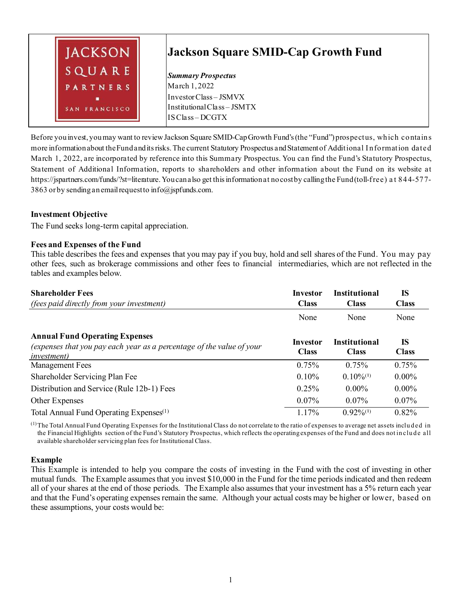

Before you invest, you may want to review Jackson Square SMID-CapGrowth Fund's (the "Fund") prospectus, which contains more information about the Fund and its risks. The current Statutory Prospectus and Statement of Additional I nformation dated March 1, 2022, are incorporated by reference into this Summary Prospectus. You can find the Fund's Statutory Prospectus, Statement of Additional Information, reports to shareholders and other information about the Fund on its website at https://jspartners.com/funds/?st=literature. You can also get this information at no cost by calling the Fund (toll-free) a t 844-577- 3863 or by sending an email request to info@jspfunds.com.

# **Investment Objective**

The Fund seeks long-term capital appreciation.

# **Fees and Expenses of the Fund**

This table describes the fees and expenses that you may pay if you buy, hold and sell shares of the Fund. You may pay other fees, such as brokerage commissions and other fees to financial intermediaries, which are not reflected in the tables and examples below.

| <b>Shareholder Fees</b>                                                                                                               | <b>Investor</b>          | <b>Institutional</b>                 | <b>IS</b>                 |  |
|---------------------------------------------------------------------------------------------------------------------------------------|--------------------------|--------------------------------------|---------------------------|--|
| <i>(fees paid directly from your investment)</i>                                                                                      | <b>Class</b>             | <b>Class</b>                         | <b>Class</b>              |  |
|                                                                                                                                       | None                     | None                                 | None                      |  |
| <b>Annual Fund Operating Expenses</b><br>(expenses that you pay each year as a percentage of the value of your<br><i>investment</i> ) | Investor<br><b>Class</b> | <b>Institutional</b><br><b>Class</b> | <b>IS</b><br><b>Class</b> |  |
| <b>Management Fees</b>                                                                                                                | 0.75%                    | 0.75%                                | 0.75%                     |  |
| Shareholder Servicing Plan Fee                                                                                                        | 0.10%                    | $0.10\%^{(1)}$                       | $0.00\%$                  |  |
| Distribution and Service (Rule 12b-1) Fees                                                                                            | 0.25%                    | $0.00\%$                             | $0.00\%$                  |  |
| <b>Other Expenses</b>                                                                                                                 | $0.07\%$                 | $0.07\%$                             | $0.07\%$                  |  |
| Total Annual Fund Operating Expenses <sup>(1)</sup>                                                                                   | 1.17%                    | $0.92\%^{(1)}$                       | 0.82%                     |  |

 $<sup>(1)</sup>$ The Total Annual Fund Operating Expenses for the Institutional Class do not correlate to the ratio of expenses to average net assets included in</sup> the Financial Highlights section of the Fund's Statutory Prospectus, which reflects the operating expenses of the Fund and does not include all available shareholder servicing plan fees for Institutional Class.

#### **Example**

This Example is intended to help you compare the costs of investing in the Fund with the cost of investing in other mutual funds. The Example assumes that you invest \$10,000 in the Fund for the time periods indicated and then redeem all of your shares at the end of those periods. The Example also assumes that your investment has a 5% return each year and that the Fund's operating expenses remain the same. Although your actual costs may be higher or lower, based on these assumptions, your costs would be: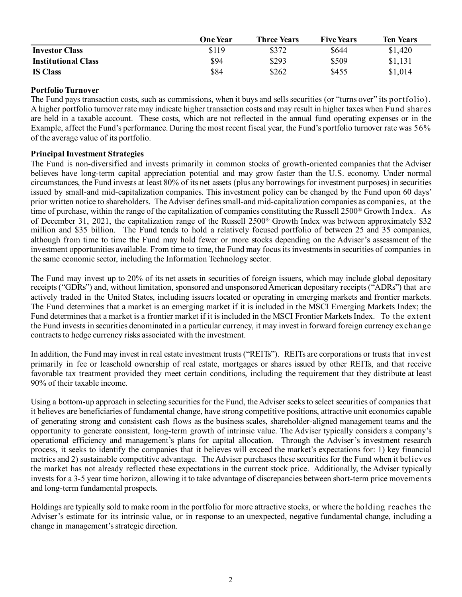|                            | One Year | <b>Three Years</b> | <b>Five Years</b> | <b>Ten Years</b> |
|----------------------------|----------|--------------------|-------------------|------------------|
| <b>Investor Class</b>      | \$119    | \$372              | \$644             | \$1,420          |
| <b>Institutional Class</b> | \$94     | \$293              | \$509             | \$1,131          |
| <b>IS Class</b>            | \$84     | \$262              | \$455             | \$1,014          |

### **Portfolio Turnover**

The Fund pays transaction costs, such as commissions, when it buys and sells securities (or "turns over" its portfolio). A higher portfolio turnover rate may indicate higher transaction costs and may result in higher taxes when Fund shares are held in a taxable account. These costs, which are not reflected in the annual fund operating expenses or in the Example, affect the Fund's performance. During the most recent fiscal year, the Fund's portfolio turnover rate was 56% of the average value of its portfolio.

# **Principal Investment Strategies**

The Fund is non-diversified and invests primarily in common stocks of growth-oriented companies that the Adviser believes have long-term capital appreciation potential and may grow faster than the U.S. economy. Under normal circumstances, the Fund invests at least 80% of its net assets (plus any borrowings for investment purposes) in securities issued by small-and mid-capitalization companies. This investment policy can be changed by the Fund upon 60 days' prior written notice to shareholders. The Adviser defines small-and mid-capitalization companies as companies, at the time of purchase, within the range of the capitalization of companies constituting the Russell 2500® Growth Index. As of December 31, 2021, the capitalization range of the Russell 2500® Growth Index was between approximately \$32 million and \$35 billion. The Fund tends to hold a relatively focused portfolio of between 25 and 35 companies, although from time to time the Fund may hold fewer or more stocks depending on the Adviser's assessment of the investment opportunities available. From time to time, the Fund may focus its investments in securities of companies in the same economic sector, including the Information Technology sector.

The Fund may invest up to 20% of its net assets in securities of foreign issuers, which may include global depositary receipts ("GDRs") and, without limitation, sponsored and unsponsored American depositary receipts ("ADRs") that are actively traded in the United States, including issuers located or operating in emerging markets and frontier markets. The Fund determines that a market is an emerging market if it is included in the MSCI Emerging Markets Index; the Fund determines that a market is a frontier market if it is included in the MSCI Frontier Markets Index. To the extent the Fund invests in securities denominated in a particular currency, it may invest in forward foreign currency exchange contracts to hedge currency risks associated with the investment.

In addition, the Fund may invest in real estate investment trusts ("REITs"). REITs are corporations or trusts that invest primarily in fee or leasehold ownership of real estate, mortgages or shares issued by other REITs, and that receive favorable tax treatment provided they meet certain conditions, including the requirement that they distribute at least 90% of their taxable income.

Using a bottom-up approach in selecting securities for the Fund, the Adviser seeks to select securities of companies that it believes are beneficiaries of fundamental change, have strong competitive positions, attractive unit economics capable of generating strong and consistent cash flows as the business scales, shareholder-aligned management teams and the opportunity to generate consistent, long-term growth of intrinsic value. The Adviser typically considers a company's operational efficiency and management's plans for capital allocation. Through the Adviser's investment research process, it seeks to identify the companies that it believes will exceed the market's expectations for: 1) key financial metrics and 2) sustainable competitive advantage. The Adviser purchases these securities for the Fund when it believes the market has not already reflected these expectations in the current stock price. Additionally, the Adviser typically invests for a 3-5 year time horizon, allowing it to take advantage of discrepancies between short-term price movements and long-term fundamental prospects.

Holdings are typically sold to make room in the portfolio for more attractive stocks, or where the holding reaches the Adviser's estimate for its intrinsic value, or in response to an unexpected, negative fundamental change, including a change in management's strategic direction.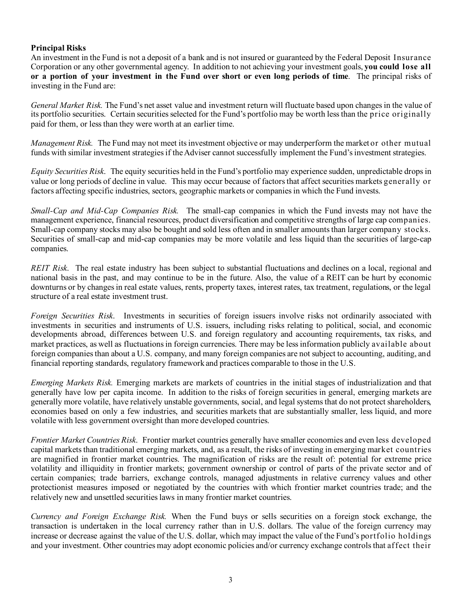# **Principal Risks**

An investment in the Fund is not a deposit of a bank and is not insured or guaranteed by the Federal Deposit Insurance Corporation or any other governmental agency. In addition to not achieving your investment goals, **you could lose all or a portion of your investment in the Fund over short or even long periods of time**. The principal risks of investing in the Fund are:

*General Market Risk.* The Fund's net asset value and investment return will fluctuate based upon changes in the value of its portfolio securities. Certain securities selected for the Fund's portfolio may be worth less than the price originally paid for them, or less than they were worth at an earlier time.

*Management Risk.* The Fund may not meet its investment objective or may underperform the market or other mutual funds with similar investment strategies if the Adviser cannot successfully implement the Fund's investment strategies.

*Equity Securities Risk*. The equity securities held in the Fund's portfolio may experience sudden, unpredictable drops in value or long periods of decline in value. This may occur because of factors that affect securities markets generally or factors affecting specific industries, sectors, geographic markets or companies in which the Fund invests.

*Small-Cap and Mid-Cap Companies Risk.* The small-cap companies in which the Fund invests may not have the management experience, financial resources, product diversification and competitive strengths of large cap companies. Small-cap company stocks may also be bought and sold less often and in smaller amounts than larger company stocks. Securities of small-cap and mid-cap companies may be more volatile and less liquid than the securities of large-cap companies.

*REIT Risk*. The real estate industry has been subject to substantial fluctuations and declines on a local, regional and national basis in the past, and may continue to be in the future. Also, the value of a REIT can be hurt by economic downturns or by changes in real estate values, rents, property taxes, interest rates, tax treatment, regulations, or the legal structure of a real estate investment trust.

*Foreign Securities Risk*. Investments in securities of foreign issuers involve risks not ordinarily associated with investments in securities and instruments of U.S. issuers, including risks relating to political, social, and economic developments abroad, differences between U.S. and foreign regulatory and accounting requirements, tax risks, and market practices, as well as fluctuations in foreign currencies. There may be less information publicly available about foreign companies than about a U.S. company, and many foreign companies are not subject to accounting, auditing, and financial reporting standards, regulatory framework and practices comparable to those in the U.S.

*Emerging Markets Risk.* Emerging markets are markets of countries in the initial stages of industrialization and that generally have low per capita income. In addition to the risks of foreign securities in general, emerging markets are generally more volatile, have relatively unstable governments, social, and legal systems that do not protect shareholders, economies based on only a few industries, and securities markets that are substantially smaller, less liquid, and more volatile with less government oversight than more developed countries.

*Frontier Market Countries Risk*. Frontier market countries generally have smaller economies and even less developed capital markets than traditional emerging markets, and, as a result, the risks of investing in emerging market countries are magnified in frontier market countries. The magnification of risks are the result of: potential for extreme price volatility and illiquidity in frontier markets; government ownership or control of parts of the private sector and of certain companies; trade barriers, exchange controls, managed adjustments in relative currency values and other protectionist measures imposed or negotiated by the countries with which frontier market countries trade; and the relatively new and unsettled securities laws in many frontier market countries.

*Currency and Foreign Exchange Risk.* When the Fund buys or sells securities on a foreign stock exchange, the transaction is undertaken in the local currency rather than in U.S. dollars. The value of the foreign currency may increase or decrease against the value of the U.S. dollar, which may impact the value of the Fund's portfolio holdings and your investment. Other countries may adopt economic policies and/or currency exchange controls that affect their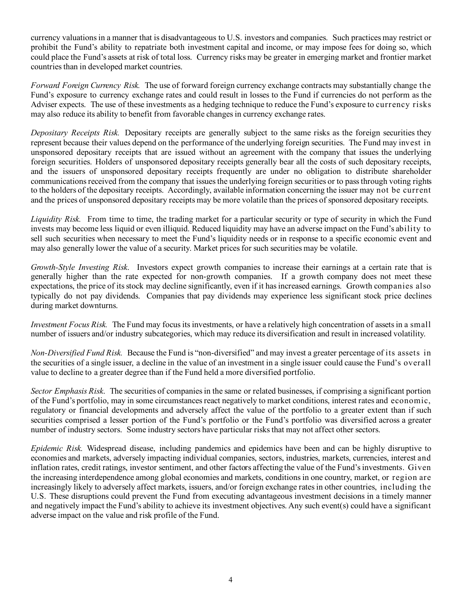currency valuations in a manner that is disadvantageous to U.S. investors and companies. Such practices may restrict or prohibit the Fund's ability to repatriate both investment capital and income, or may impose fees for doing so, which could place the Fund's assets at risk of total loss. Currency risks may be greater in emerging market and frontier market countries than in developed market countries.

*Forward Foreign Currency Risk.* The use of forward foreign currency exchange contracts may substantially change the Fund's exposure to currency exchange rates and could result in losses to the Fund if currencies do not perform as the Adviser expects. The use of these investments as a hedging technique to reduce the Fund's exposure to currency risks may also reduce its ability to benefit from favorable changes in currency exchange rates.

*Depositary Receipts Risk.* Depositary receipts are generally subject to the same risks as the foreign securities they represent because their values depend on the performance of the underlying foreign securities. The Fund may invest in unsponsored depositary receipts that are issued without an agreement with the company that issues the underlying foreign securities. Holders of unsponsored depositary receipts generally bear all the costs of such depositary receipts, and the issuers of unsponsored depositary receipts frequently are under no obligation to distribute shareholder communications received from the company that issues the underlying foreign securities or to pass through voting rights to the holders of the depositary receipts. Accordingly, available information concerning the issuer may not be current and the prices of unsponsored depositary receipts may be more volatile than the prices of sponsored depositary receipts.

*Liquidity Risk.* From time to time, the trading market for a particular security or type of security in which the Fund invests may become less liquid or even illiquid. Reduced liquidity may have an adverse impact on the Fund's ability to sell such securities when necessary to meet the Fund's liquidity needs or in response to a specific economic event and may also generally lower the value of a security. Market prices for such securities may be volatile.

*Growth-Style Investing Risk*. Investors expect growth companies to increase their earnings at a certain rate that is generally higher than the rate expected for non-growth companies. If a growth company does not meet these expectations, the price of its stock may decline significantly, even if it has increased earnings. Growth companies also typically do not pay dividends. Companies that pay dividends may experience less significant stock price declines during market downturns.

*Investment Focus Risk.* The Fund may focus its investments, or have a relatively high concentration of assets in a small number of issuers and/or industry subcategories, which may reduce its diversification and result in increased volatility.

*Non-Diversified Fund Risk.* Because the Fund is "non-diversified" and may invest a greater percentage of its assets in the securities of a single issuer, a decline in the value of an investment in a single issuer could cause the Fund's overall value to decline to a greater degree than if the Fund held a more diversified portfolio.

*Sector Emphasis Risk*. The securities of companies in the same or related businesses, if comprising a significant portion of the Fund's portfolio, may in some circumstances react negatively to market conditions, interest rates and economic, regulatory or financial developments and adversely affect the value of the portfolio to a greater extent than if such securities comprised a lesser portion of the Fund's portfolio or the Fund's portfolio was diversified across a greater number of industry sectors. Some industry sectors have particular risks that may not affect other sectors.

*Epidemic Risk.* Widespread disease, including pandemics and epidemics have been and can be highly disruptive to economies and markets, adversely impacting individual companies, sectors, industries, markets, currencies, interest and inflation rates, credit ratings, investor sentiment, and other factors affecting the value of the Fund's investments. Given the increasing interdependence among global economies and markets, conditions in one country, market, or region are increasingly likely to adversely affect markets, issuers, and/or foreign exchange rates in other countries, including the U.S. These disruptions could prevent the Fund from executing advantageous investment decisions in a timely manner and negatively impact the Fund's ability to achieve its investment objectives. Any such event(s) could have a significant adverse impact on the value and risk profile of the Fund.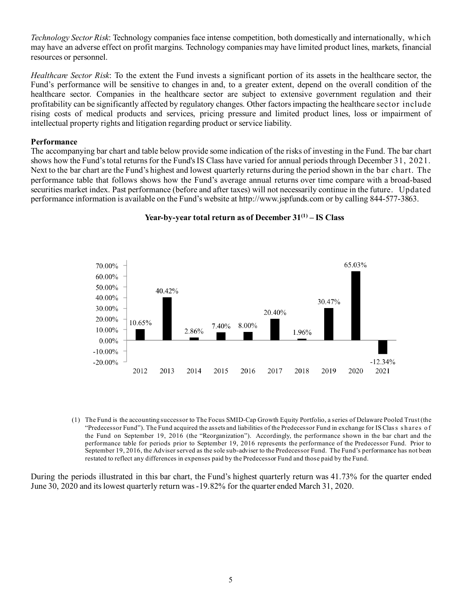*Technology Sector Risk*: Technology companies face intense competition, both domestically and internationally, which may have an adverse effect on profit margins. Technology companies may have limited product lines, markets, financial resources or personnel.

*Healthcare Sector Risk*: To the extent the Fund invests a significant portion of its assets in the healthcare sector, the Fund's performance will be sensitive to changes in and, to a greater extent, depend on the overall condition of the healthcare sector. Companies in the healthcare sector are subject to extensive government regulation and their profitability can be significantly affected by regulatory changes. Other factors impacting the healthcare sector include rising costs of medical products and services, pricing pressure and limited product lines, loss or impairment of intellectual property rights and litigation regarding product or service liability.

#### **Performance**

The accompanying bar chart and table below provide some indication of the risks of investing in the Fund. The bar chart shows how the Fund's total returns for the Fund's IS Class have varied for annual periods through December 31, 2021. Next to the bar chart are the Fund's highest and lowest quarterly returns during the period shown in the bar chart. The performance table that follows shows how the Fund's average annual returns over time compare with a broad-based securities market index. Past performance (before and after taxes) will not necessarily continue in the future. Updated performance information is available on the Fund's website at http://www.jspfunds.com or by calling 844-577-3863.



### **Year-by-year total return as of December 31(1) – IS Class**

(1) The Fund is the accounting successor to The Focus SMID-Cap Growth Equity Portfolio, a series of Delaware Pooled Trust (the "Predecessor Fund"). The Fund acquired the assets and liabilities of the Predecessor Fund in exchange for IS Class shares of the Fund on September 19, 2016 (the "Reorganization"). Accordingly, the performance shown in the bar chart and the performance table for periods prior to September 19, 2016 represents the performance of the Predecessor Fund. Prior to September 19, 2016, the Adviser served as the sole sub-adviser to the Predecessor Fund. The Fund's performance has not been restated to reflect any differences in expenses paid by the Predecessor Fund and those paid by the Fund.

During the periods illustrated in this bar chart, the Fund's highest quarterly return was 41.73% for the quarter ended June 30, 2020 and its lowest quarterly return was -19.82% for the quarter ended March 31, 2020.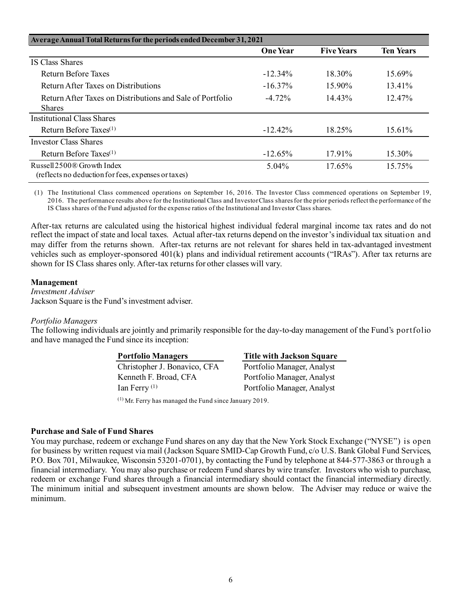| Average Annual Total Returns for the periods ended December 31, 2021                          |                 |                   |                  |
|-----------------------------------------------------------------------------------------------|-----------------|-------------------|------------------|
|                                                                                               | <b>One Year</b> | <b>Five Years</b> | <b>Ten Years</b> |
| <b>IS Class Shares</b>                                                                        |                 |                   |                  |
| Return Before Taxes                                                                           | $-12.34\%$      | 18.30%            | 15.69%           |
| Return After Taxes on Distributions                                                           | $-16.37%$       | $15.90\%$         | 13.41%           |
| Return After Taxes on Distributions and Sale of Portfolio                                     | $-4.72\%$       | 14.43%            | 12.47%           |
| <b>Shares</b>                                                                                 |                 |                   |                  |
| Institutional Class Shares                                                                    |                 |                   |                  |
| Return Before Taxes $(1)$                                                                     | $-12.42%$       | 18.25%            | 15.61%           |
| Investor Class Shares                                                                         |                 |                   |                  |
| Return Before Taxes <sup>(1)</sup>                                                            | $-12.65%$       | $17.91\%$         | 15.30%           |
| Russell 2500 <sup>®</sup> Growth Index<br>(reflects no deduction for fees, expenses or taxes) | $5.04\%$        | 17.65%            | 15.75%           |

(1) The Institutional Class commenced operations on September 16, 2016. The Investor Class commenced operations on September 19, 2016. The performance results above for the Institutional Class and Investor Class shares for the prior periods reflect the performance of the IS Class shares of the Fund adjusted for the expense ratios of the Institutional and Investor Class shares.

After-tax returns are calculated using the historical highest individual federal marginal income tax rates and do not reflect the impact of state and local taxes. Actual after-tax returns depend on the investor's individual tax situation and may differ from the returns shown. After-tax returns are not relevant for shares held in tax-advantaged investment vehicles such as employer-sponsored 401(k) plans and individual retirement accounts ("IRAs"). After tax returns are shown for IS Class shares only. After-tax returns for other classes will vary.

#### **Management**

*Investment Adviser* Jackson Square is the Fund's investment adviser.

#### *Portfolio Managers*

The following individuals are jointly and primarily responsible for the day-to-day management of the Fund's portfolio and have managed the Fund since its inception:

| <b>Title with Jackson Square</b> |  |  |
|----------------------------------|--|--|
| Portfolio Manager, Analyst       |  |  |
| Portfolio Manager, Analyst       |  |  |
| Portfolio Manager, Analyst       |  |  |
|                                  |  |  |

(1) Mr. Ferry has managed the Fund since January 2019.

#### **Purchase and Sale of Fund Shares**

You may purchase, redeem or exchange Fund shares on any day that the New York Stock Exchange ("NYSE") is open for business by written request via mail (Jackson Square SMID-Cap Growth Fund, c/o U.S. Bank Global Fund Services, P.O. Box 701, Milwaukee, Wisconsin 53201-0701), by contacting the Fund by telephone at 844-577-3863 or through a financial intermediary. You may also purchase or redeem Fund shares by wire transfer. Investors who wish to purchase, redeem or exchange Fund shares through a financial intermediary should contact the financial intermediary directly. The minimum initial and subsequent investment amounts are shown below. The Adviser may reduce or waive the minimum.